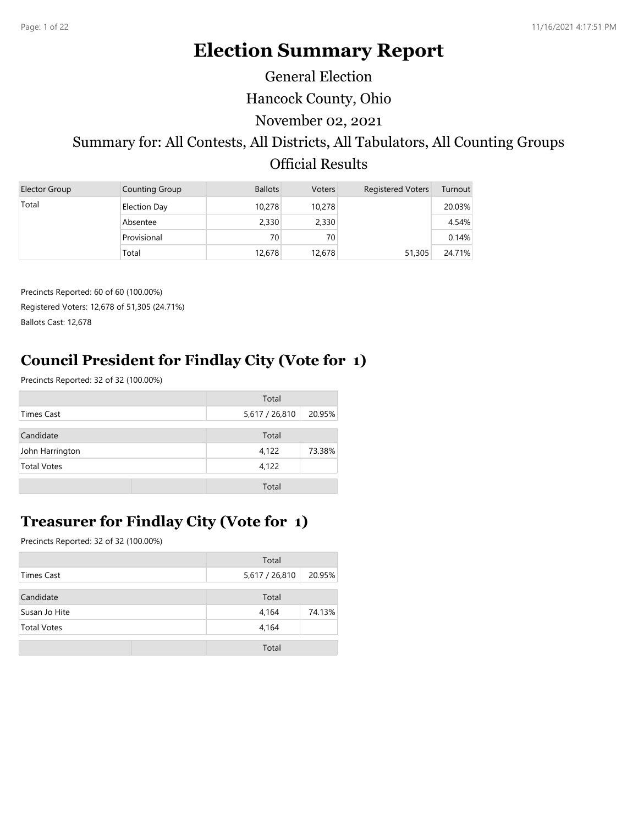# **Election Summary Report**

General Election

Hancock County, Ohio

November 02, 2021

# Summary for: All Contests, All Districts, All Tabulators, All Counting Groups Official Results

| Elector Group | Counting Group      | <b>Ballots</b> | <b>Voters</b> | <b>Registered Voters</b> | Turnout |
|---------------|---------------------|----------------|---------------|--------------------------|---------|
| Total         | <b>Election Day</b> | 10,278         | 10,278        |                          | 20.03%  |
|               | Absentee            | 2,330          | 2,330         |                          | 4.54%   |
|               | Provisional         | 70             | 70            |                          | 0.14%   |
|               | Total               | 12,678         | 12,678        | 51,305                   | 24.71%  |

Precincts Reported: 60 of 60 (100.00%) Registered Voters: 12,678 of 51,305 (24.71%) Ballots Cast: 12,678

# **Council President for Findlay City (Vote for 1)**

Precincts Reported: 32 of 32 (100.00%)

|                    | Total          |        |
|--------------------|----------------|--------|
| Times Cast         | 5,617 / 26,810 | 20.95% |
| Candidate          | Total          |        |
| John Harrington    | 4,122          | 73.38% |
| <b>Total Votes</b> | 4,122          |        |
|                    | Total          |        |

## **Treasurer for Findlay City (Vote for 1)**

|                    | Total          |        |
|--------------------|----------------|--------|
| Times Cast         | 5,617 / 26,810 | 20.95% |
| Candidate          | Total          |        |
| Susan Jo Hite      | 4,164          | 74.13% |
| <b>Total Votes</b> | 4,164          |        |
|                    | Total          |        |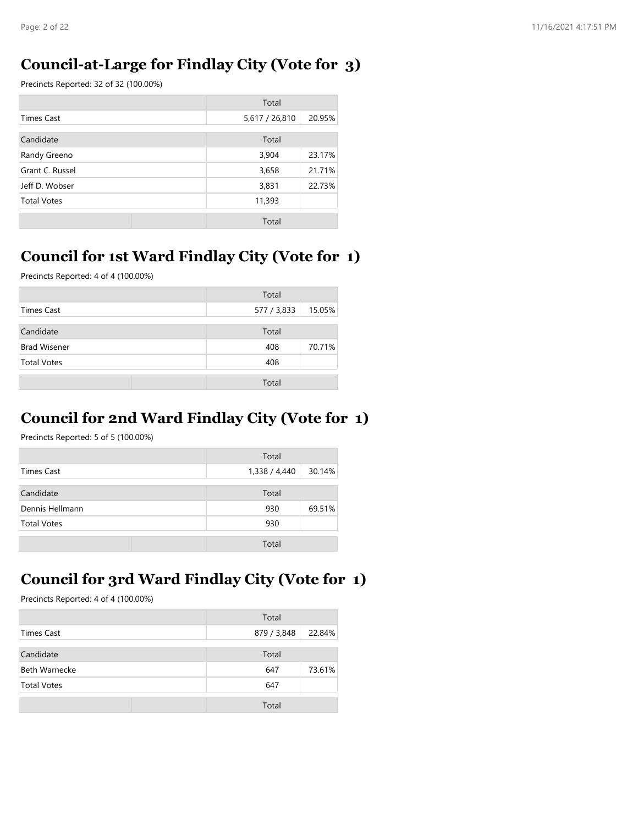#### **Council-at-Large for Findlay City (Vote for 3)**

Precincts Reported: 32 of 32 (100.00%)

|                    | Total          |        |
|--------------------|----------------|--------|
| <b>Times Cast</b>  | 5,617 / 26,810 | 20.95% |
| Candidate          | Total          |        |
| Randy Greeno       | 3,904          | 23.17% |
| Grant C. Russel    | 3,658          | 21.71% |
| Jeff D. Wobser     | 3,831          | 22.73% |
| <b>Total Votes</b> | 11,393         |        |
|                    | Total          |        |

## **Council for 1st Ward Findlay City (Vote for 1)**

Precincts Reported: 4 of 4 (100.00%)

|                     | Total       |        |
|---------------------|-------------|--------|
| Times Cast          | 577 / 3,833 | 15.05% |
| Candidate           | Total       |        |
| <b>Brad Wisener</b> | 408         | 70.71% |
| <b>Total Votes</b>  | 408         |        |
|                     | Total       |        |

## **Council for 2nd Ward Findlay City (Vote for 1)**

Precincts Reported: 5 of 5 (100.00%)

|                    | Total                   |
|--------------------|-------------------------|
| Times Cast         | 30.14%<br>1,338 / 4,440 |
| Candidate          | Total                   |
| Dennis Hellmann    | 69.51%<br>930           |
| <b>Total Votes</b> | 930                     |
|                    | Total                   |

# **Council for 3rd Ward Findlay City (Vote for 1)**

|                      | Total       |        |
|----------------------|-------------|--------|
| Times Cast           | 879 / 3,848 | 22.84% |
| Candidate            | Total       |        |
| <b>Beth Warnecke</b> | 647         | 73.61% |
| <b>Total Votes</b>   | 647         |        |
|                      | Total       |        |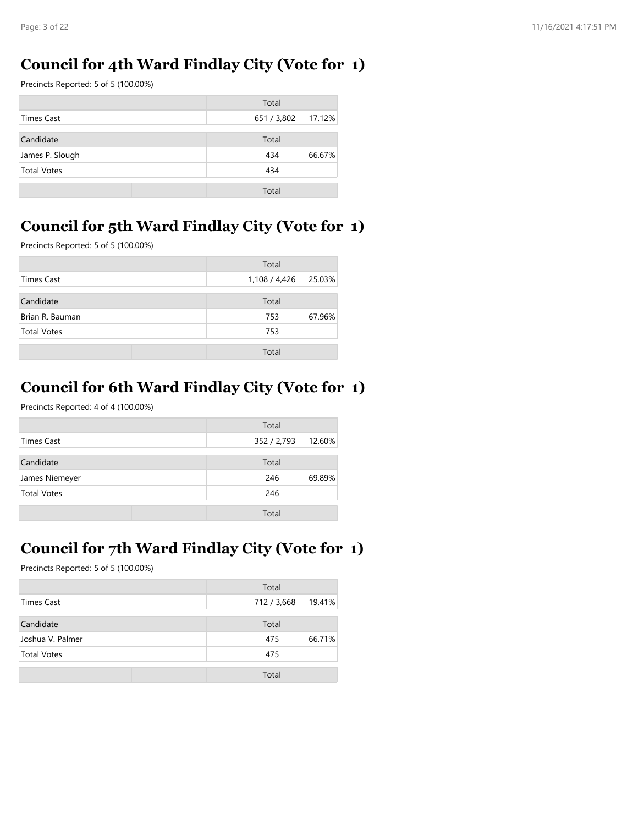## **Council for 4th Ward Findlay City (Vote for 1)**

Precincts Reported: 5 of 5 (100.00%)

|                    | Total                 |
|--------------------|-----------------------|
| Times Cast         | 17.12%<br>651 / 3,802 |
| Candidate          | Total                 |
| James P. Slough    | 66.67%<br>434         |
| <b>Total Votes</b> | 434                   |
|                    | Total                 |

# **Council for 5th Ward Findlay City (Vote for 1)**

Precincts Reported: 5 of 5 (100.00%)

|                    | Total         |        |
|--------------------|---------------|--------|
| Times Cast         | 1,108 / 4,426 | 25.03% |
| Candidate          | Total         |        |
| Brian R. Bauman    | 753           | 67.96% |
| <b>Total Votes</b> | 753           |        |
|                    | Total         |        |

# **Council for 6th Ward Findlay City (Vote for 1)**

Precincts Reported: 4 of 4 (100.00%)

|                    | Total       |        |
|--------------------|-------------|--------|
| Times Cast         | 352 / 2,793 | 12.60% |
| Candidate          | Total       |        |
| James Niemeyer     | 246         | 69.89% |
| <b>Total Votes</b> | 246         |        |
|                    | Total       |        |

# **Council for 7th Ward Findlay City (Vote for 1)**

|                    | Total       |        |
|--------------------|-------------|--------|
| Times Cast         | 712 / 3,668 | 19.41% |
| Candidate          | Total       |        |
| Joshua V. Palmer   | 475         | 66.71% |
| <b>Total Votes</b> | 475         |        |
|                    | Total       |        |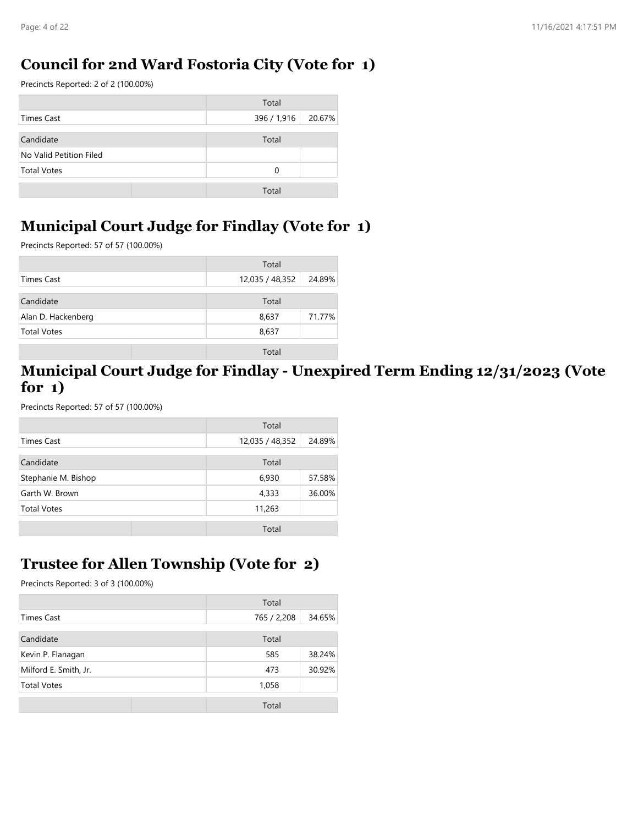## **Council for 2nd Ward Fostoria City (Vote for 1)**

Precincts Reported: 2 of 2 (100.00%)

|                         | Total                 |
|-------------------------|-----------------------|
| Times Cast              | 396 / 1,916<br>20.67% |
| Candidate               | Total                 |
| No Valid Petition Filed |                       |
| <b>Total Votes</b>      | 0                     |
|                         | Total                 |

## **Municipal Court Judge for Findlay (Vote for 1)**

Precincts Reported: 57 of 57 (100.00%)

|                    | Total           |        |
|--------------------|-----------------|--------|
| Times Cast         | 12,035 / 48,352 | 24.89% |
| Candidate          | Total           |        |
| Alan D. Hackenberg | 8,637           | 71.77% |
| <b>Total Votes</b> | 8,637           |        |
|                    | Total           |        |

#### **Municipal Court Judge for Findlay - Unexpired Term Ending 12/31/2023 (Vote for 1)**

Precincts Reported: 57 of 57 (100.00%)

|                     | Total           |        |
|---------------------|-----------------|--------|
| Times Cast          | 12,035 / 48,352 | 24.89% |
| Candidate           | Total           |        |
| Stephanie M. Bishop | 6,930           | 57.58% |
| Garth W. Brown      | 4,333           | 36.00% |
| <b>Total Votes</b>  | 11,263          |        |
|                     | Total           |        |

# **Trustee for Allen Township (Vote for 2)**

|                       | Total       |        |
|-----------------------|-------------|--------|
| <b>Times Cast</b>     | 765 / 2,208 | 34.65% |
| Candidate             | Total       |        |
| Kevin P. Flanagan     | 585         | 38.24% |
| Milford E. Smith, Jr. | 473         | 30.92% |
| <b>Total Votes</b>    | 1,058       |        |
|                       | Total       |        |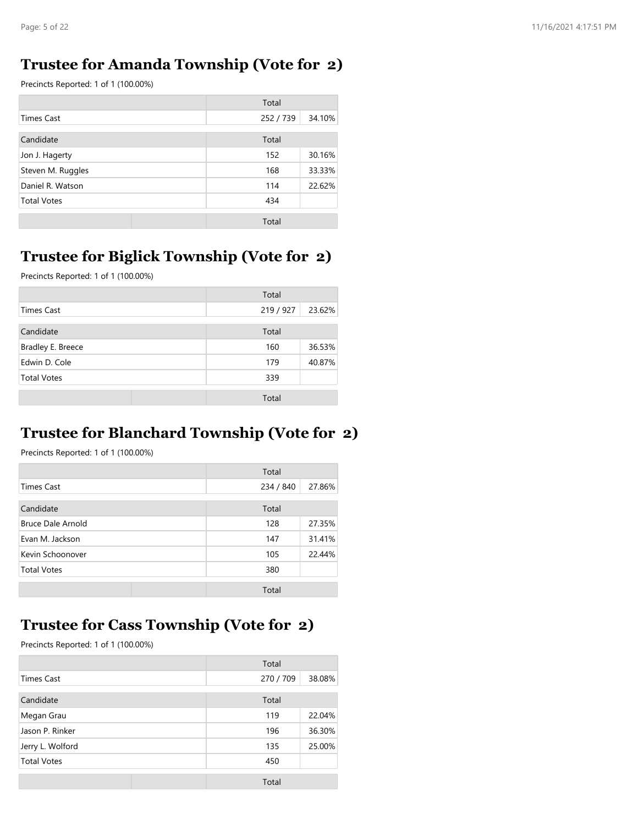#### **Trustee for Amanda Township (Vote for 2)**

Precincts Reported: 1 of 1 (100.00%)

|                    | Total   |        |
|--------------------|---------|--------|
| <b>Times Cast</b>  | 252/739 | 34.10% |
| Candidate          | Total   |        |
| Jon J. Hagerty     | 152     | 30.16% |
| Steven M. Ruggles  | 168     | 33.33% |
| Daniel R. Watson   | 114     | 22.62% |
| <b>Total Votes</b> | 434     |        |
|                    | Total   |        |

## **Trustee for Biglick Township (Vote for 2)**

Precincts Reported: 1 of 1 (100.00%)

|                    | Total     |        |
|--------------------|-----------|--------|
| Times Cast         | 219 / 927 | 23.62% |
| Candidate          | Total     |        |
| Bradley E. Breece  | 160       | 36.53% |
| Edwin D. Cole      | 179       | 40.87% |
| <b>Total Votes</b> | 339       |        |
|                    | Total     |        |

#### **Trustee for Blanchard Township (Vote for 2)**

Precincts Reported: 1 of 1 (100.00%)

|                    | Total     |        |
|--------------------|-----------|--------|
| <b>Times Cast</b>  | 234 / 840 | 27.86% |
| Candidate          | Total     |        |
| Bruce Dale Arnold  | 128       | 27.35% |
| Evan M. Jackson    | 147       | 31.41% |
| Kevin Schoonover   | 105       | 22.44% |
| <b>Total Votes</b> | 380       |        |
|                    | Total     |        |

#### **Trustee for Cass Township (Vote for 2)**

|                    |  | Total     |        |
|--------------------|--|-----------|--------|
| Times Cast         |  | 270 / 709 | 38.08% |
| Candidate          |  | Total     |        |
| Megan Grau         |  | 119       | 22.04% |
| Jason P. Rinker    |  | 196       | 36.30% |
| Jerry L. Wolford   |  | 135       | 25.00% |
| <b>Total Votes</b> |  | 450       |        |
|                    |  | Total     |        |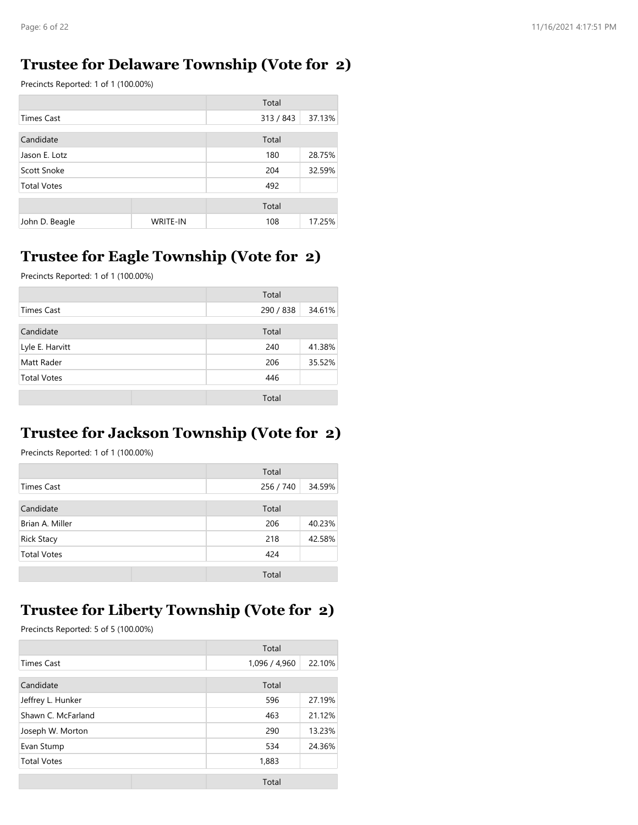#### **Trustee for Delaware Township (Vote for 2)**

Precincts Reported: 1 of 1 (100.00%)

|                    |                 | Total     |        |
|--------------------|-----------------|-----------|--------|
| <b>Times Cast</b>  |                 | 313 / 843 | 37.13% |
| Candidate          |                 | Total     |        |
| Jason E. Lotz      |                 | 180       | 28.75% |
| Scott Snoke        |                 | 204       | 32.59% |
| <b>Total Votes</b> |                 | 492       |        |
|                    |                 | Total     |        |
| John D. Beagle     | <b>WRITE-IN</b> | 108       | 17.25% |

## **Trustee for Eagle Township (Vote for 2)**

Precincts Reported: 1 of 1 (100.00%)

|                    | Total     |        |
|--------------------|-----------|--------|
| Times Cast         | 290 / 838 | 34.61% |
| Candidate          | Total     |        |
| Lyle E. Harvitt    | 240       | 41.38% |
| Matt Rader         | 206       | 35.52% |
| <b>Total Votes</b> | 446       |        |
|                    | Total     |        |

#### **Trustee for Jackson Township (Vote for 2)**

Precincts Reported: 1 of 1 (100.00%)

|                    | Total     |        |
|--------------------|-----------|--------|
| Times Cast         | 256 / 740 | 34.59% |
| Candidate          | Total     |        |
| Brian A. Miller    | 206       | 40.23% |
| <b>Rick Stacy</b>  | 218       | 42.58% |
| <b>Total Votes</b> | 424       |        |
|                    | Total     |        |

# **Trustee for Liberty Township (Vote for 2)**

|                    | Total         |        |
|--------------------|---------------|--------|
| <b>Times Cast</b>  | 1,096 / 4,960 | 22.10% |
|                    |               |        |
| Candidate          | Total         |        |
| Jeffrey L. Hunker  | 596           | 27.19% |
| Shawn C. McFarland | 463           | 21.12% |
| Joseph W. Morton   | 290           | 13.23% |
| Evan Stump         | 534           | 24.36% |
| <b>Total Votes</b> | 1,883         |        |
|                    | Total         |        |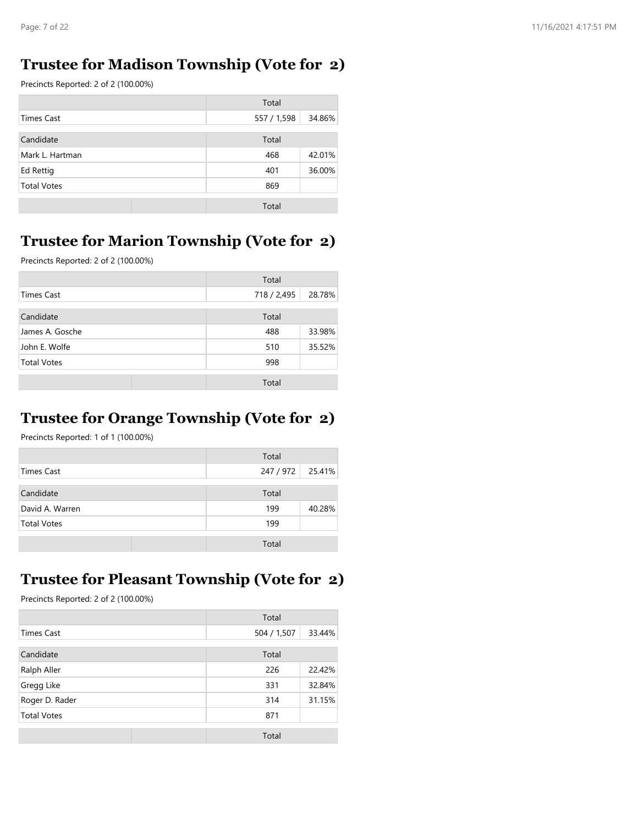#### **Trustee for Madison Township (Vote for 2)**

Precincts Reported: 2 of 2 (100.00%)

|                    | Total       |        |
|--------------------|-------------|--------|
| Times Cast         | 557 / 1,598 | 34.86% |
| Candidate          | Total       |        |
| Mark L. Hartman    | 468         | 42.01% |
| Ed Rettig          | 401         | 36.00% |
| <b>Total Votes</b> | 869         |        |
|                    | Total       |        |

#### **Trustee for Marion Township (Vote for 2)**

Precincts Reported: 2 of 2 (100.00%)

|                    | Total       |        |
|--------------------|-------------|--------|
| Times Cast         | 718 / 2,495 | 28.78% |
| Candidate          | Total       |        |
| James A. Gosche    | 488         | 33.98% |
| John E. Wolfe      | 510         | 35.52% |
| <b>Total Votes</b> | 998         |        |
|                    | Total       |        |

# **Trustee for Orange Township (Vote for 2)**

Precincts Reported: 1 of 1 (100.00%)

|                    | Total   |        |
|--------------------|---------|--------|
| Times Cast         | 247/972 | 25.41% |
| Candidate          | Total   |        |
| David A. Warren    | 199     | 40.28% |
| <b>Total Votes</b> | 199     |        |
|                    | Total   |        |

#### **Trustee for Pleasant Township (Vote for 2)**

|                    | Total       |        |
|--------------------|-------------|--------|
| Times Cast         | 504 / 1,507 | 33.44% |
| Candidate          | Total       |        |
| Ralph Aller        | 226         | 22.42% |
| Gregg Like         | 331         | 32.84% |
| Roger D. Rader     | 314         | 31.15% |
| <b>Total Votes</b> | 871         |        |
|                    | Total       |        |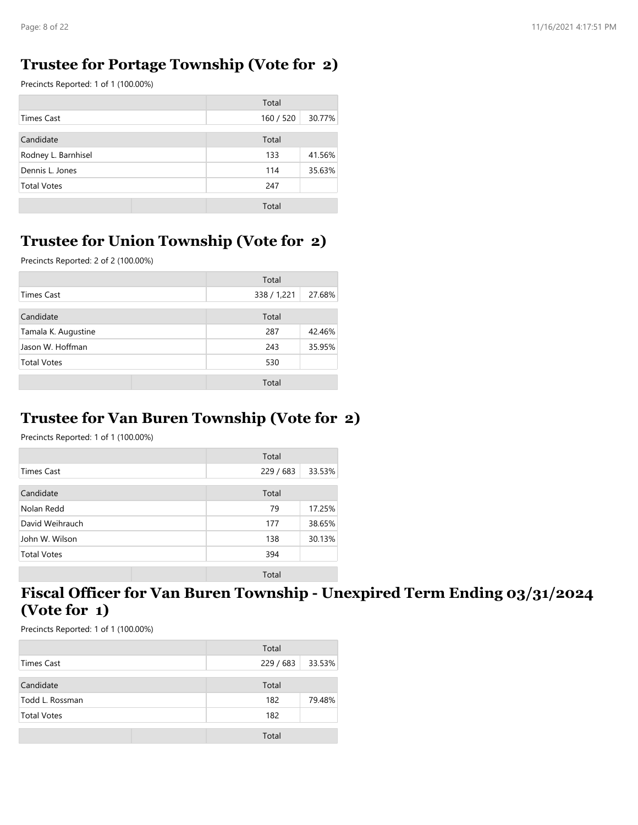#### **Trustee for Portage Township (Vote for 2)**

Precincts Reported: 1 of 1 (100.00%)

|                     | Total     |        |
|---------------------|-----------|--------|
| <b>Times Cast</b>   | 160 / 520 | 30.77% |
| Candidate           | Total     |        |
| Rodney L. Barnhisel | 133       | 41.56% |
| Dennis L. Jones     | 114       | 35.63% |
| <b>Total Votes</b>  | 247       |        |
|                     | Total     |        |

#### **Trustee for Union Township (Vote for 2)**

Precincts Reported: 2 of 2 (100.00%)

|                     | Total       |        |
|---------------------|-------------|--------|
| <b>Times Cast</b>   | 338 / 1,221 | 27.68% |
| Candidate           | Total       |        |
| Tamala K. Augustine | 287         | 42.46% |
| Jason W. Hoffman    | 243         | 35.95% |
| <b>Total Votes</b>  | 530         |        |
|                     | Total       |        |

#### **Trustee for Van Buren Township (Vote for 2)**

Precincts Reported: 1 of 1 (100.00%)

|                    | Total   |        |
|--------------------|---------|--------|
| <b>Times Cast</b>  | 229/683 | 33.53% |
| Candidate          | Total   |        |
| Nolan Redd         | 79      | 17.25% |
| David Weihrauch    | 177     | 38.65% |
| John W. Wilson     | 138     | 30.13% |
| <b>Total Votes</b> | 394     |        |
|                    | Total   |        |

#### **Fiscal Officer for Van Buren Township - Unexpired Term Ending 03/31/2024 (Vote for 1)**

|                    | Total     |        |
|--------------------|-----------|--------|
| Times Cast         | 229 / 683 | 33.53% |
| Candidate          | Total     |        |
| Todd L. Rossman    | 182       | 79.48% |
| <b>Total Votes</b> | 182       |        |
|                    | Total     |        |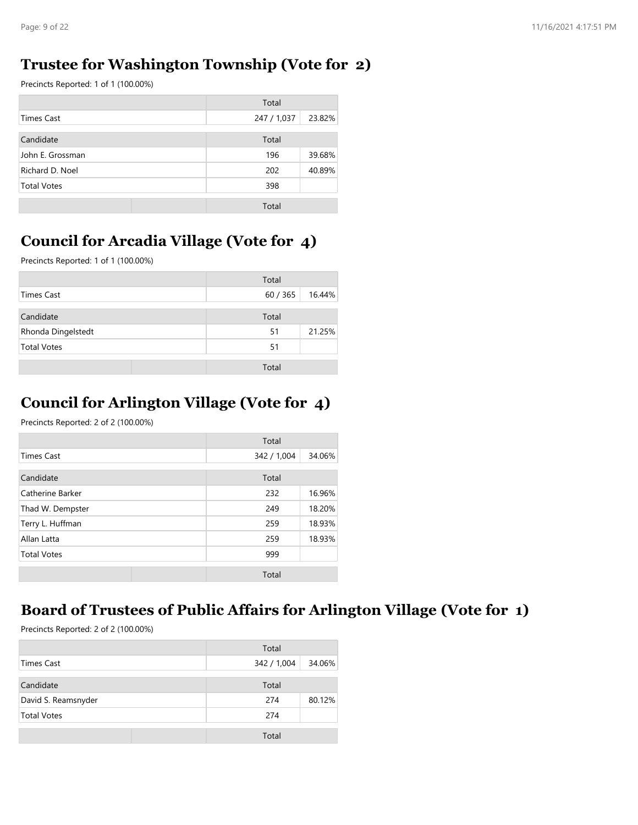## **Trustee for Washington Township (Vote for 2)**

Precincts Reported: 1 of 1 (100.00%)

|                    | Total       |        |
|--------------------|-------------|--------|
| Times Cast         | 247 / 1,037 | 23.82% |
| Candidate          | Total       |        |
| John E. Grossman   | 196         | 39.68% |
| Richard D. Noel    | 202         | 40.89% |
| <b>Total Votes</b> | 398         |        |
|                    | Total       |        |

## **Council for Arcadia Village (Vote for 4)**

Precincts Reported: 1 of 1 (100.00%)

|                    | Total  |        |
|--------------------|--------|--------|
| Times Cast         | 60/365 | 16.44% |
| Candidate          | Total  |        |
| Rhonda Dingelstedt | 51     | 21.25% |
| <b>Total Votes</b> | 51     |        |
|                    | Total  |        |

## **Council for Arlington Village (Vote for 4)**

Precincts Reported: 2 of 2 (100.00%)

|                    | Total       |        |
|--------------------|-------------|--------|
| <b>Times Cast</b>  | 342 / 1,004 | 34.06% |
| Candidate          | Total       |        |
| Catherine Barker   | 232         | 16.96% |
| Thad W. Dempster   | 249         | 18.20% |
| Terry L. Huffman   | 259         | 18.93% |
| Allan Latta        | 259         | 18.93% |
| <b>Total Votes</b> | 999         |        |
|                    | Total       |        |

# **Board of Trustees of Public Affairs for Arlington Village (Vote for 1)**

|                     | Total       |        |
|---------------------|-------------|--------|
| Times Cast          | 342 / 1,004 | 34.06% |
| Candidate           | Total       |        |
| David S. Reamsnyder | 274         | 80.12% |
| <b>Total Votes</b>  | 274         |        |
|                     | Total       |        |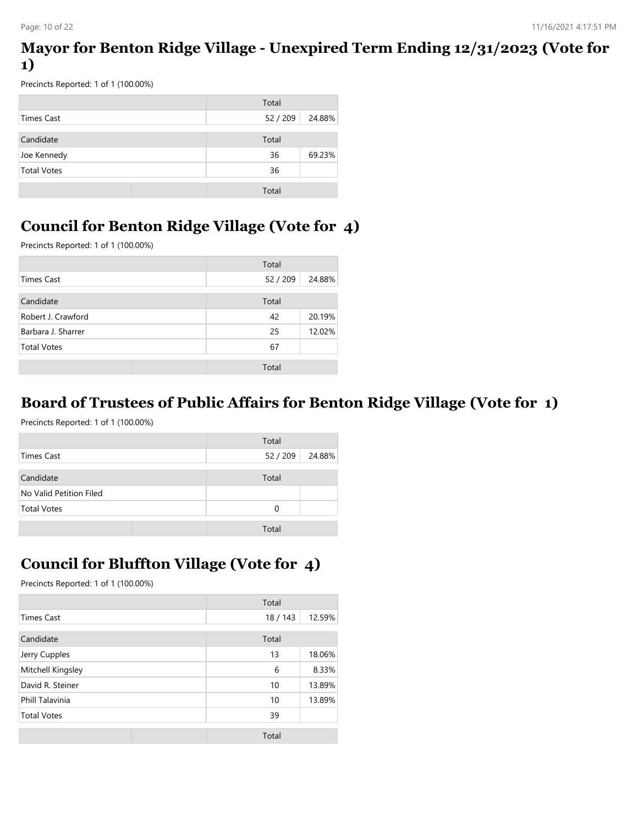#### **Mayor for Benton Ridge Village - Unexpired Term Ending 12/31/2023 (Vote for 1)**

Precincts Reported: 1 of 1 (100.00%)

|                    | Total            |
|--------------------|------------------|
| Times Cast         | 52/209<br>24.88% |
| Candidate          | Total            |
| Joe Kennedy        | 69.23%<br>36     |
| <b>Total Votes</b> | 36               |
|                    | Total            |

## **Council for Benton Ridge Village (Vote for 4)**

Precincts Reported: 1 of 1 (100.00%)

|                    | Total    |        |
|--------------------|----------|--------|
| <b>Times Cast</b>  | 52 / 209 | 24.88% |
| Candidate          | Total    |        |
| Robert J. Crawford | 42       | 20.19% |
| Barbara J. Sharrer | 25       | 12.02% |
| <b>Total Votes</b> | 67       |        |
|                    | Total    |        |

#### **Board of Trustees of Public Affairs for Benton Ridge Village (Vote for 1)**

Precincts Reported: 1 of 1 (100.00%)

|                         | Total  |        |
|-------------------------|--------|--------|
| Times Cast              | 52/209 | 24.88% |
| Candidate               | Total  |        |
| No Valid Petition Filed |        |        |
| <b>Total Votes</b>      | 0      |        |
|                         | Total  |        |

# **Council for Bluffton Village (Vote for 4)**

|                    | Total    |        |
|--------------------|----------|--------|
| <b>Times Cast</b>  | 18 / 143 | 12.59% |
| Candidate          | Total    |        |
| Jerry Cupples      | 13       | 18.06% |
| Mitchell Kingsley  | 6        | 8.33%  |
| David R. Steiner   | 10       | 13.89% |
| Phill Talavinia    | 10       | 13.89% |
| <b>Total Votes</b> | 39       |        |
|                    | Total    |        |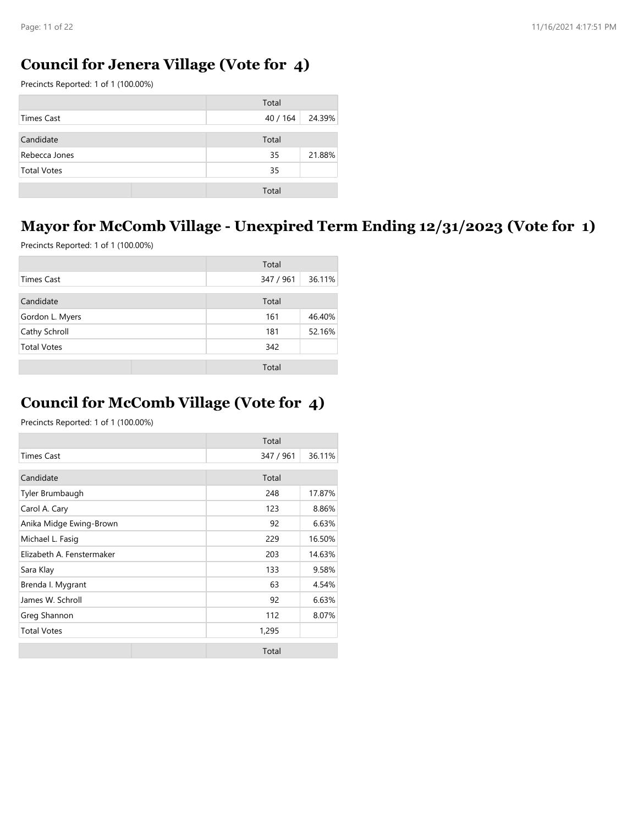## **Council for Jenera Village (Vote for 4)**

Precincts Reported: 1 of 1 (100.00%)

|                    | Total    |        |
|--------------------|----------|--------|
| Times Cast         | 40 / 164 | 24.39% |
| Candidate          | Total    |        |
| Rebecca Jones      | 35       | 21.88% |
| <b>Total Votes</b> | 35       |        |
|                    | Total    |        |

## **Mayor for McComb Village - Unexpired Term Ending 12/31/2023 (Vote for 1)**

Precincts Reported: 1 of 1 (100.00%)

|                    | Total     |        |
|--------------------|-----------|--------|
| <b>Times Cast</b>  | 347 / 961 | 36.11% |
| Candidate          | Total     |        |
| Gordon L. Myers    | 161       | 46.40% |
| Cathy Schroll      | 181       | 52.16% |
| <b>Total Votes</b> | 342       |        |
|                    | Total     |        |

#### **Council for McComb Village (Vote for 4)**

|                           | Total     |        |
|---------------------------|-----------|--------|
| <b>Times Cast</b>         | 347 / 961 | 36.11% |
| Candidate                 | Total     |        |
| Tyler Brumbaugh           | 248       | 17.87% |
| Carol A. Cary             | 123       | 8.86%  |
| Anika Midge Ewing-Brown   | 92        | 6.63%  |
| Michael L. Fasig          | 229       | 16.50% |
| Elizabeth A. Fenstermaker | 203       | 14.63% |
| Sara Klay                 | 133       | 9.58%  |
| Brenda I. Mygrant         | 63        | 4.54%  |
| James W. Schroll          | 92        | 6.63%  |
| Greg Shannon              | 112       | 8.07%  |
| <b>Total Votes</b>        | 1,295     |        |
|                           | Total     |        |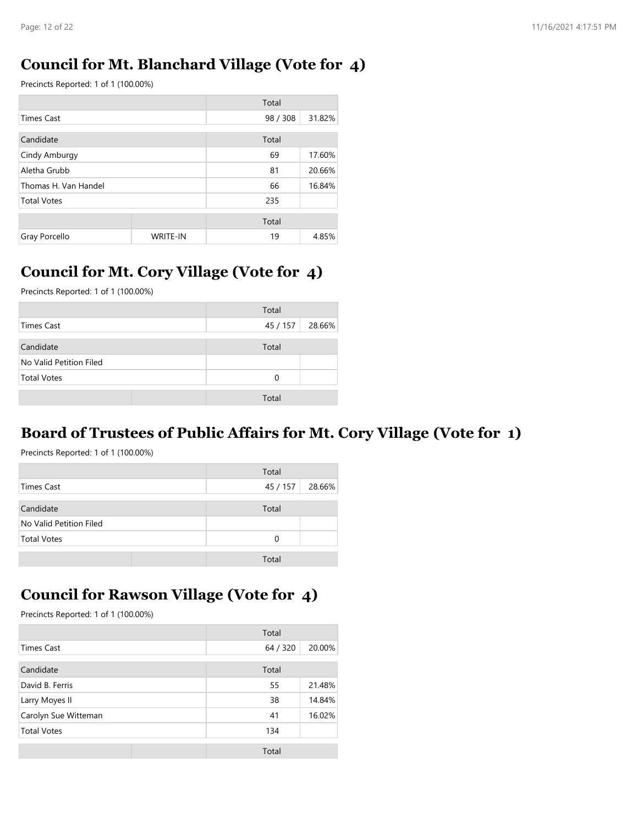#### **Council for Mt. Blanchard Village (Vote for 4)**

Precincts Reported: 1 of 1 (100.00%)

|                      |                 | Total    |        |
|----------------------|-----------------|----------|--------|
| <b>Times Cast</b>    |                 | 98 / 308 | 31.82% |
| Candidate            |                 | Total    |        |
| Cindy Amburgy        |                 | 69       | 17.60% |
| Aletha Grubb         |                 | 81       | 20.66% |
| Thomas H. Van Handel |                 | 66       | 16.84% |
| <b>Total Votes</b>   |                 | 235      |        |
|                      |                 | Total    |        |
| Gray Porcello        | <b>WRITE-IN</b> | 19       | 4.85%  |

#### **Council for Mt. Cory Village (Vote for 4)**

Precincts Reported: 1 of 1 (100.00%)

|                         | Total    |        |
|-------------------------|----------|--------|
| Times Cast              | 45 / 157 | 28.66% |
| Candidate               | Total    |        |
| No Valid Petition Filed |          |        |
| <b>Total Votes</b>      | 0        |        |
|                         | Total    |        |

#### **Board of Trustees of Public Affairs for Mt. Cory Village (Vote for 1)**

Precincts Reported: 1 of 1 (100.00%)

|                         | Total    |        |
|-------------------------|----------|--------|
| Times Cast              | 45 / 157 | 28.66% |
| Candidate               | Total    |        |
| No Valid Petition Filed |          |        |
| <b>Total Votes</b>      | 0        |        |
|                         | Total    |        |

#### **Council for Rawson Village (Vote for 4)**

|                      | Total    |        |
|----------------------|----------|--------|
| <b>Times Cast</b>    | 64 / 320 | 20.00% |
| Candidate            | Total    |        |
| David B. Ferris      | 55       | 21.48% |
| Larry Moyes II       | 38       | 14.84% |
| Carolyn Sue Witteman | 41       | 16.02% |
| <b>Total Votes</b>   | 134      |        |
|                      | Total    |        |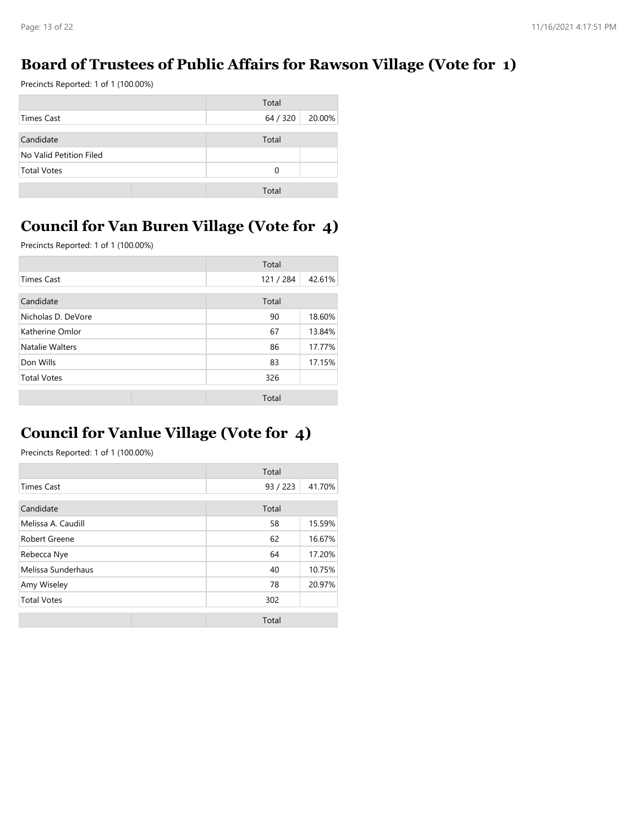#### **Board of Trustees of Public Affairs for Rawson Village (Vote for 1)**

Precincts Reported: 1 of 1 (100.00%)

|                         | Total              |
|-------------------------|--------------------|
| Times Cast              | 64 / 320<br>20.00% |
| Candidate               | Total              |
| No Valid Petition Filed |                    |
| <b>Total Votes</b>      | 0                  |
|                         | Total              |

## **Council for Van Buren Village (Vote for 4)**

Precincts Reported: 1 of 1 (100.00%)

|                    | Total   |        |
|--------------------|---------|--------|
| <b>Times Cast</b>  | 121/284 | 42.61% |
| Candidate          | Total   |        |
| Nicholas D. DeVore | 90      | 18.60% |
| Katherine Omlor    | 67      | 13.84% |
| Natalie Walters    | 86      | 17.77% |
| Don Wills          | 83      | 17.15% |
| <b>Total Votes</b> | 326     |        |
|                    | Total   |        |

## **Council for Vanlue Village (Vote for 4)**

|                    |  | Total    |        |
|--------------------|--|----------|--------|
| <b>Times Cast</b>  |  | 93 / 223 | 41.70% |
| Candidate          |  | Total    |        |
| Melissa A. Caudill |  | 58       | 15.59% |
| Robert Greene      |  | 62       | 16.67% |
| Rebecca Nye        |  | 64       | 17.20% |
| Melissa Sunderhaus |  | 40       | 10.75% |
| Amy Wiseley        |  | 78       | 20.97% |
| <b>Total Votes</b> |  | 302      |        |
|                    |  | Total    |        |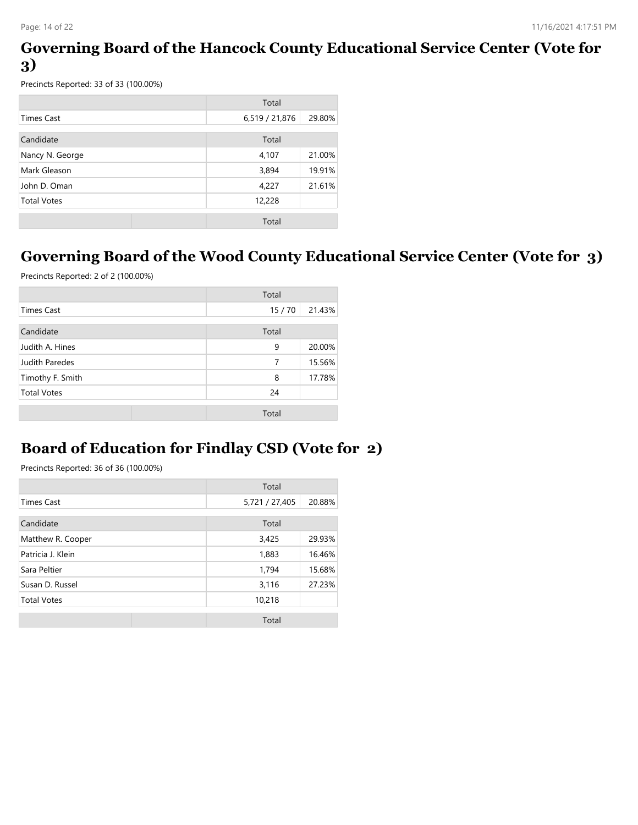#### **Governing Board of the Hancock County Educational Service Center (Vote for 3)**

Precincts Reported: 33 of 33 (100.00%)

|                    | Total          |        |
|--------------------|----------------|--------|
| Times Cast         | 6,519 / 21,876 | 29.80% |
| Candidate          | Total          |        |
| Nancy N. George    | 4,107          | 21.00% |
| Mark Gleason       | 3,894          | 19.91% |
| John D. Oman       | 4,227          | 21.61% |
| <b>Total Votes</b> | 12,228         |        |
|                    | Total          |        |

#### **Governing Board of the Wood County Educational Service Center (Vote for 3)**

Precincts Reported: 2 of 2 (100.00%)

|                       | Total |        |
|-----------------------|-------|--------|
| <b>Times Cast</b>     | 15/70 | 21.43% |
| Candidate             | Total |        |
| Judith A. Hines       | 9     | 20.00% |
| <b>Judith Paredes</b> | 7     | 15.56% |
| Timothy F. Smith      | 8     | 17.78% |
| <b>Total Votes</b>    | 24    |        |
|                       | Total |        |

## **Board of Education for Findlay CSD (Vote for 2)**

|                    | Total          |        |
|--------------------|----------------|--------|
| <b>Times Cast</b>  | 5,721 / 27,405 | 20.88% |
| Candidate          | Total          |        |
| Matthew R. Cooper  | 3,425          | 29.93% |
| Patricia J. Klein  | 1,883          | 16.46% |
| Sara Peltier       | 1,794          | 15.68% |
| Susan D. Russel    | 3,116          | 27.23% |
| <b>Total Votes</b> | 10,218         |        |
|                    | Total          |        |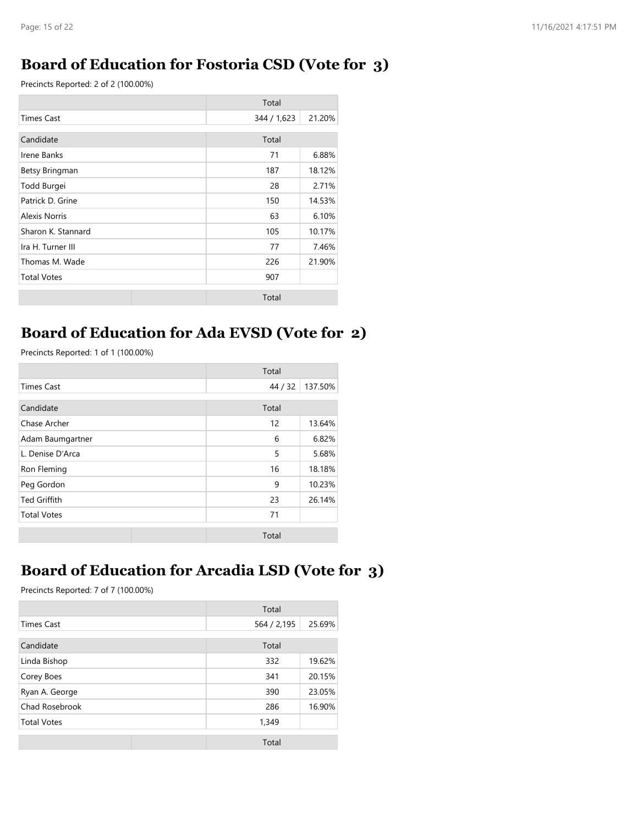#### **Board of Education for Fostoria CSD (Vote for 3)**

Precincts Reported: 2 of 2 (100.00%)

|                         | Total       |        |
|-------------------------|-------------|--------|
| <b>Times Cast</b>       | 344 / 1,623 | 21.20% |
| Candidate               | Total       |        |
| Irene Banks             | 71          | 6.88%  |
| Betsy Bringman          | 187         | 18.12% |
| Todd Burgei             | 28          | 2.71%  |
| Patrick D. Grine        | 150         | 14.53% |
| Alexis Norris           | 63          | 6.10%  |
| Sharon K. Stannard      | 105         | 10.17% |
| Ira H. Turner III<br>77 |             | 7.46%  |
| 226<br>Thomas M. Wade   |             | 21.90% |
| <b>Total Votes</b>      | 907         |        |
|                         | Total       |        |

#### **Board of Education for Ada EVSD (Vote for 2)**

Precincts Reported: 1 of 1 (100.00%)

|                                     | Total              |        |
|-------------------------------------|--------------------|--------|
| <b>Times Cast</b>                   | 137.50%<br>44 / 32 |        |
| Candidate                           | Total              |        |
| Chase Archer                        | 12<br>13.64%       |        |
| Adam Baumgartner                    | 6.82%<br>6         |        |
| L. Denise D'Arca<br>5               |                    | 5.68%  |
| Ron Fleming                         | 16<br>18.18%       |        |
| Peg Gordon<br>9                     |                    | 10.23% |
| <b>Ted Griffith</b><br>26.14%<br>23 |                    |        |
| <b>Total Votes</b>                  | 71                 |        |
|                                     | Total              |        |

## **Board of Education for Arcadia LSD (Vote for 3)**

|                    | Total       |        |
|--------------------|-------------|--------|
| <b>Times Cast</b>  | 564 / 2,195 | 25.69% |
| Candidate          | Total       |        |
| Linda Bishop       | 332         | 19.62% |
| Corey Boes         | 341         | 20.15% |
| Ryan A. George     | 390         | 23.05% |
| Chad Rosebrook     | 286         | 16.90% |
| <b>Total Votes</b> | 1,349       |        |
|                    | Total       |        |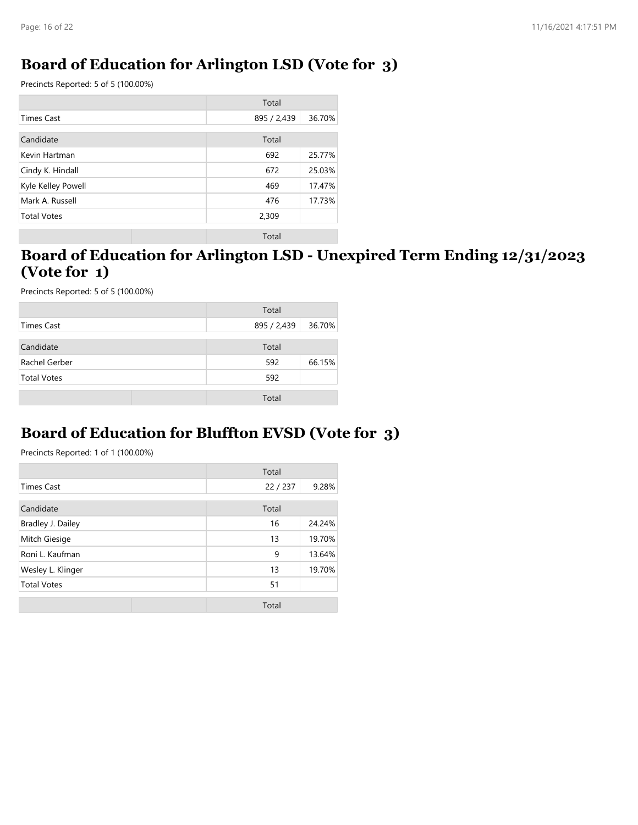#### **Board of Education for Arlington LSD (Vote for 3)**

Precincts Reported: 5 of 5 (100.00%)

|                    | Total       |        |
|--------------------|-------------|--------|
| <b>Times Cast</b>  | 895 / 2,439 | 36.70% |
| Candidate          | Total       |        |
| Kevin Hartman      | 692         | 25.77% |
| Cindy K. Hindall   | 672         | 25.03% |
| Kyle Kelley Powell | 469         | 17.47% |
| Mark A. Russell    | 476         | 17.73% |
| <b>Total Votes</b> | 2,309       |        |
|                    | Total       |        |

#### **Board of Education for Arlington LSD - Unexpired Term Ending 12/31/2023 (Vote for 1)**

Precincts Reported: 5 of 5 (100.00%)

|                    | Total       |        |
|--------------------|-------------|--------|
| Times Cast         | 895 / 2,439 | 36.70% |
| Candidate          | Total       |        |
| Rachel Gerber      | 592         | 66.15% |
| <b>Total Votes</b> | 592         |        |
|                    | Total       |        |

#### **Board of Education for Bluffton EVSD (Vote for 3)**

|                    | Total  |        |
|--------------------|--------|--------|
| <b>Times Cast</b>  | 22/237 | 9.28%  |
| Candidate          | Total  |        |
| Bradley J. Dailey  | 16     | 24.24% |
| Mitch Giesige      | 13     | 19.70% |
| Roni L. Kaufman    | 9      | 13.64% |
| Wesley L. Klinger  | 13     | 19.70% |
| <b>Total Votes</b> | 51     |        |
|                    | Total  |        |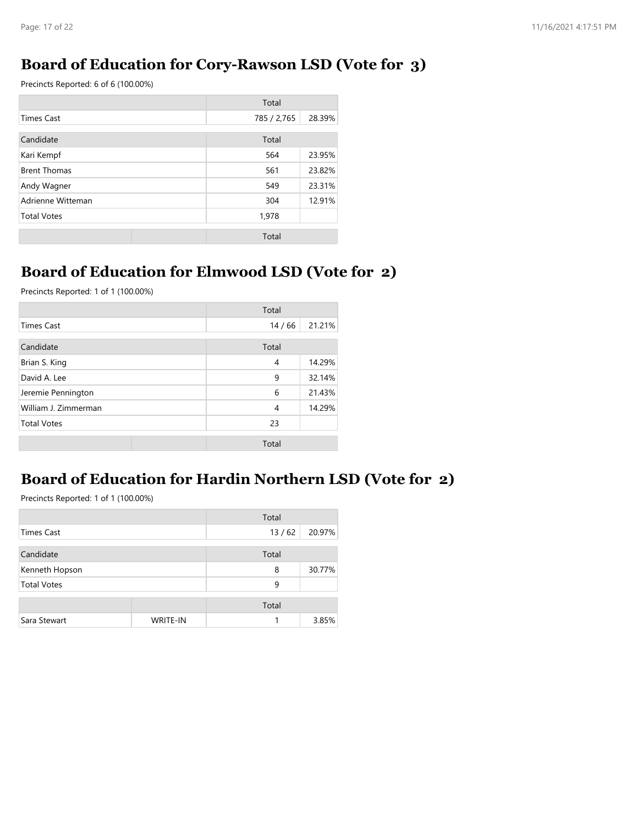#### **Board of Education for Cory-Rawson LSD (Vote for 3)**

Precincts Reported: 6 of 6 (100.00%)

|                          | Total       |        |
|--------------------------|-------------|--------|
| <b>Times Cast</b>        | 785 / 2,765 | 28.39% |
| Candidate                | Total       |        |
| Kari Kempf               | 564         | 23.95% |
| <b>Brent Thomas</b>      | 561         | 23.82% |
| 549<br>Andy Wagner       |             | 23.31% |
| Adrienne Witteman<br>304 |             | 12.91% |
| <b>Total Votes</b>       | 1,978       |        |
|                          | Total       |        |

## **Board of Education for Elmwood LSD (Vote for 2)**

Precincts Reported: 1 of 1 (100.00%)

|                      | Total |        |
|----------------------|-------|--------|
| <b>Times Cast</b>    | 14/66 | 21.21% |
| Candidate            | Total |        |
| Brian S. King        | 4     | 14.29% |
| David A. Lee         | 9     | 32.14% |
| Jeremie Pennington   | 6     | 21.43% |
| William J. Zimmerman | 4     | 14.29% |
| <b>Total Votes</b>   | 23    |        |
|                      | Total |        |

#### **Board of Education for Hardin Northern LSD (Vote for 2)**

|                    |                 | Total |        |
|--------------------|-----------------|-------|--------|
| <b>Times Cast</b>  |                 | 13/62 | 20.97% |
| Candidate          |                 | Total |        |
| Kenneth Hopson     |                 | 8     | 30.77% |
| <b>Total Votes</b> |                 | 9     |        |
|                    |                 | Total |        |
| Sara Stewart       | <b>WRITE-IN</b> |       | 3.85%  |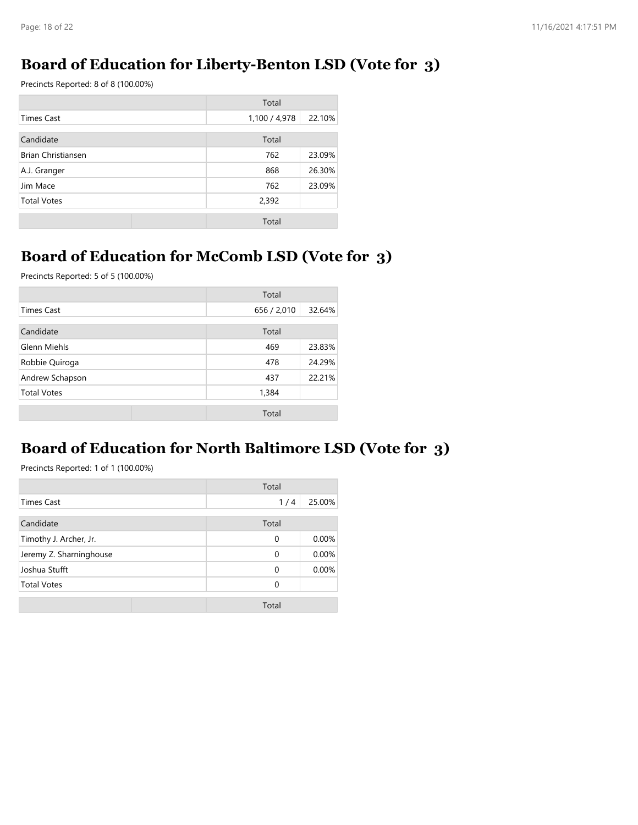#### **Board of Education for Liberty-Benton LSD (Vote for 3)**

Precincts Reported: 8 of 8 (100.00%)

|                           | Total         |        |  |
|---------------------------|---------------|--------|--|
| Times Cast                | 1,100 / 4,978 | 22.10% |  |
| Candidate                 | Total         |        |  |
| <b>Brian Christiansen</b> | 762           | 23.09% |  |
| A.J. Granger              | 868           | 26.30% |  |
| Jim Mace                  | 762           | 23.09% |  |
| <b>Total Votes</b>        | 2,392         |        |  |
|                           | Total         |        |  |

## **Board of Education for McComb LSD (Vote for 3)**

Precincts Reported: 5 of 5 (100.00%)

|                    | Total       |        |
|--------------------|-------------|--------|
| <b>Times Cast</b>  | 656 / 2,010 | 32.64% |
| Candidate          | Total       |        |
| Glenn Miehls       | 469         | 23.83% |
| Robbie Quiroga     | 478         | 24.29% |
| Andrew Schapson    | 437         | 22.21% |
| <b>Total Votes</b> | 1,384       |        |
|                    | Total       |        |

## **Board of Education for North Baltimore LSD (Vote for 3)**

|                         | Total    |        |
|-------------------------|----------|--------|
| Times Cast              | 1/4      | 25.00% |
| Candidate               | Total    |        |
| Timothy J. Archer, Jr.  | $\Omega$ | 0.00%  |
| Jeremy Z. Sharninghouse | $\Omega$ | 0.00%  |
| Joshua Stufft           | $\Omega$ | 0.00%  |
| <b>Total Votes</b>      | $\Omega$ |        |
|                         | Total    |        |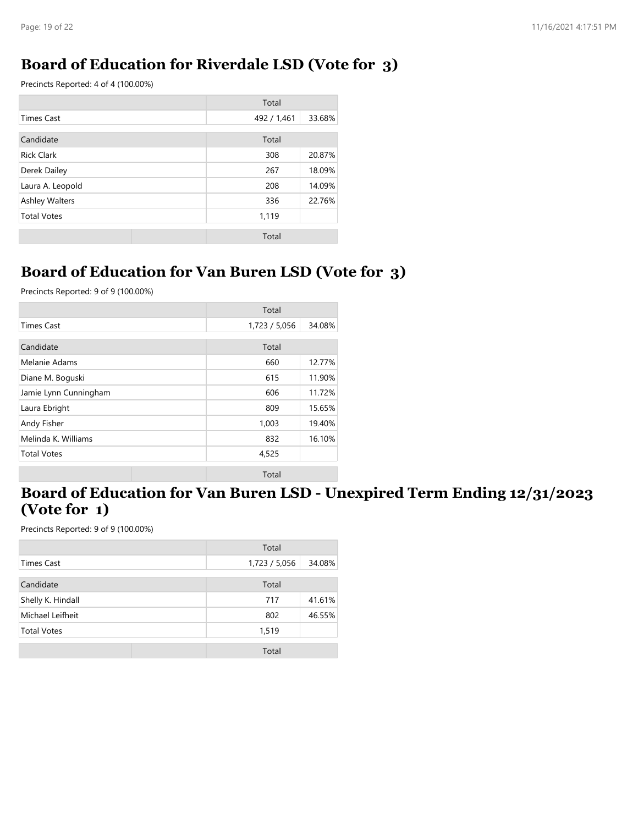## **Board of Education for Riverdale LSD (Vote for 3)**

Precincts Reported: 4 of 4 (100.00%)

|                       | Total       |        |
|-----------------------|-------------|--------|
| <b>Times Cast</b>     | 492 / 1,461 | 33.68% |
| Candidate             | Total       |        |
| <b>Rick Clark</b>     | 308         | 20.87% |
| Derek Dailey<br>267   |             | 18.09% |
| Laura A. Leopold      | 208         | 14.09% |
| <b>Ashley Walters</b> | 336         | 22.76% |
| <b>Total Votes</b>    | 1,119       |        |
|                       | Total       |        |

#### **Board of Education for Van Buren LSD (Vote for 3)**

Precincts Reported: 9 of 9 (100.00%)

|                       | Total         |        |
|-----------------------|---------------|--------|
| <b>Times Cast</b>     | 1,723 / 5,056 | 34.08% |
| Candidate             | Total         |        |
| Melanie Adams         | 660           | 12.77% |
| Diane M. Boguski      | 615           | 11.90% |
| Jamie Lynn Cunningham | 606           | 11.72% |
| Laura Ebright         | 809           | 15.65% |
| Andy Fisher           | 1,003         | 19.40% |
| Melinda K. Williams   | 832           | 16.10% |
| <b>Total Votes</b>    | 4,525         |        |
|                       | Total         |        |

#### **Board of Education for Van Buren LSD - Unexpired Term Ending 12/31/2023 (Vote for 1)**

|                    | Total         |        |
|--------------------|---------------|--------|
| Times Cast         | 1,723 / 5,056 | 34.08% |
| Candidate          | Total         |        |
| Shelly K. Hindall  | 717           | 41.61% |
| Michael Leifheit   | 802           | 46.55% |
| <b>Total Votes</b> | 1,519         |        |
|                    | Total         |        |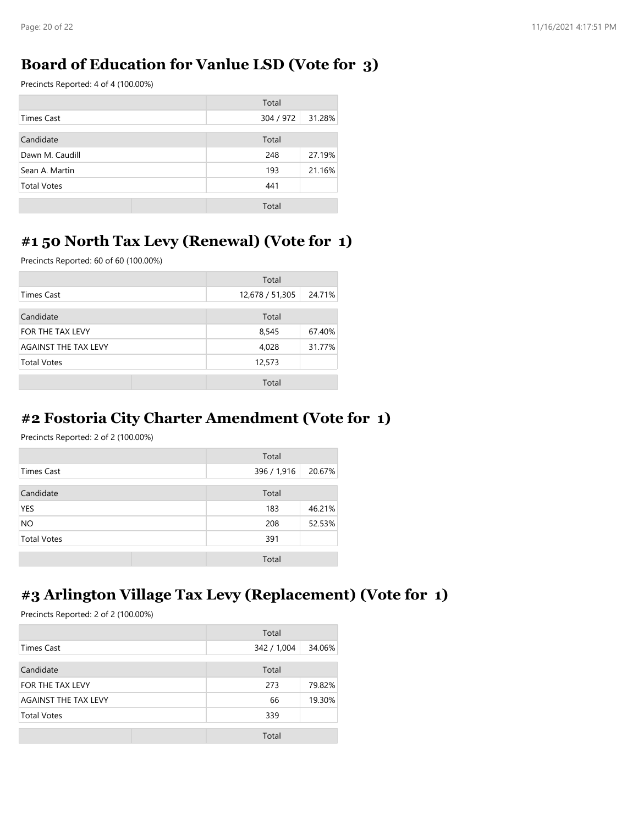#### **Board of Education for Vanlue LSD (Vote for 3)**

Precincts Reported: 4 of 4 (100.00%)

|                    | Total     |        |
|--------------------|-----------|--------|
| Times Cast         | 304 / 972 | 31.28% |
| Candidate          | Total     |        |
| Dawn M. Caudill    | 248       | 27.19% |
| Sean A. Martin     | 193       | 21.16% |
| <b>Total Votes</b> | 441       |        |
|                    | Total     |        |

#### **#1 50 North Tax Levy (Renewal) (Vote for 1)**

Precincts Reported: 60 of 60 (100.00%)

|                              | Total           |        |
|------------------------------|-----------------|--------|
| <b>Times Cast</b>            | 12,678 / 51,305 | 24.71% |
| Candidate                    | Total           |        |
| FOR THE TAX LEVY             | 8,545           | 67.40% |
| <b>AGAINST THE TAX LEVY</b>  | 4,028           | 31.77% |
| <b>Total Votes</b><br>12,573 |                 |        |
|                              | Total           |        |

#### **#2 Fostoria City Charter Amendment (Vote for 1)**

Precincts Reported: 2 of 2 (100.00%)

|                    | Total                 |
|--------------------|-----------------------|
| <b>Times Cast</b>  | 396 / 1,916<br>20.67% |
| Candidate          | Total                 |
| YES                | 46.21%<br>183         |
| <b>NO</b>          | 52.53%<br>208         |
| <b>Total Votes</b> | 391                   |
|                    | Total                 |

#### **#3 Arlington Village Tax Levy (Replacement) (Vote for 1)**

|                             | Total       |        |
|-----------------------------|-------------|--------|
| <b>Times Cast</b>           | 342 / 1,004 | 34.06% |
| Candidate                   | Total       |        |
| FOR THE TAX LEVY            | 273         | 79.82% |
| <b>AGAINST THE TAX LEVY</b> | 66          | 19.30% |
| <b>Total Votes</b>          | 339         |        |
|                             | Total       |        |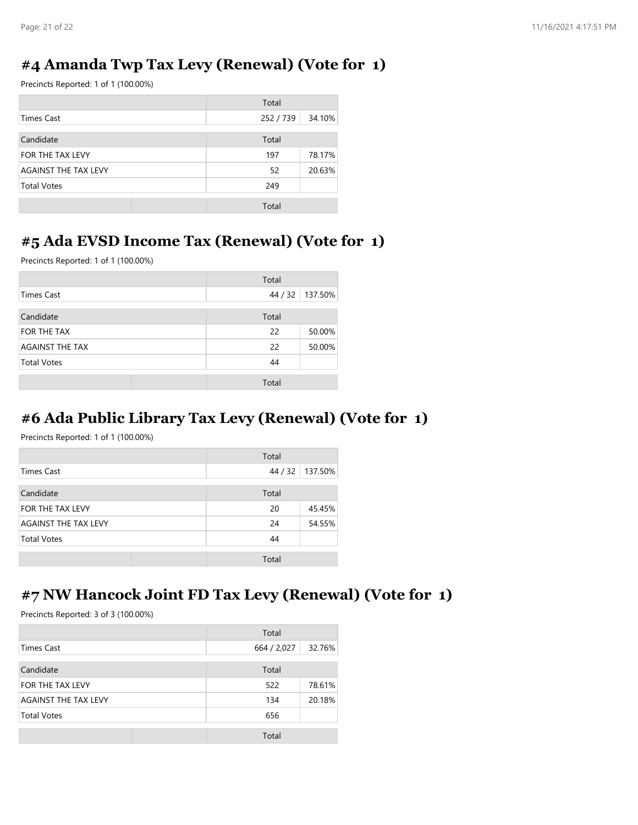#### **#4 Amanda Twp Tax Levy (Renewal) (Vote for 1)**

Precincts Reported: 1 of 1 (100.00%)

|                             | Total     |        |
|-----------------------------|-----------|--------|
| Times Cast                  | 252 / 739 | 34.10% |
| Candidate                   | Total     |        |
| FOR THE TAX LEVY            | 197       | 78.17% |
| <b>AGAINST THE TAX LEVY</b> | 52        | 20.63% |
| <b>Total Votes</b>          | 249       |        |
|                             | Total     |        |

#### **#5 Ada EVSD Income Tax (Renewal) (Vote for 1)**

Precincts Reported: 1 of 1 (100.00%)

|                        | Total   |         |
|------------------------|---------|---------|
| <b>Times Cast</b>      | 44 / 32 | 137.50% |
| Candidate              | Total   |         |
| FOR THE TAX            | 22      | 50.00%  |
| <b>AGAINST THE TAX</b> | 22      | 50.00%  |
| <b>Total Votes</b>     | 44      |         |
|                        | Total   |         |

# **#6 Ada Public Library Tax Levy (Renewal) (Vote for 1)**

Precincts Reported: 1 of 1 (100.00%)

|                      | Total   |         |
|----------------------|---------|---------|
| Times Cast           | 44 / 32 | 137.50% |
| Candidate            | Total   |         |
| FOR THE TAX LEVY     | 20      | 45.45%  |
| AGAINST THE TAX LEVY | 24      | 54.55%  |
| <b>Total Votes</b>   | 44      |         |
|                      | Total   |         |

#### **#7 NW Hancock Joint FD Tax Levy (Renewal) (Vote for 1)**

|                             | Total       |        |
|-----------------------------|-------------|--------|
| <b>Times Cast</b>           | 664 / 2,027 | 32.76% |
| Candidate                   | Total       |        |
| FOR THE TAX LEVY            | 522         | 78.61% |
| <b>AGAINST THE TAX LEVY</b> | 134         | 20.18% |
| <b>Total Votes</b>          | 656         |        |
|                             | Total       |        |